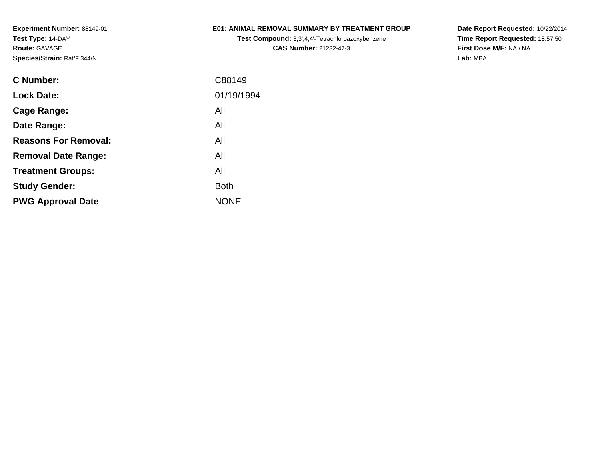### **E01: ANIMAL REMOVAL SUMMARY BY TREATMENT GROUP**

**Test Compound:** 3,3',4,4'-Tetrachloroazoxybenzene**CAS Number:** 21232-47-3

**Date Report Requested:** 10/22/2014 **Time Report Requested:** 18:57:50**First Dose M/F:** NA / NA**Lab:** MBA

| <b>C</b> Number:            | C88149      |
|-----------------------------|-------------|
| <b>Lock Date:</b>           | 01/19/1994  |
| Cage Range:                 | All         |
| Date Range:                 | All         |
| <b>Reasons For Removal:</b> | All         |
| <b>Removal Date Range:</b>  | All         |
| <b>Treatment Groups:</b>    | All         |
| <b>Study Gender:</b>        | <b>Both</b> |
| <b>PWG Approval Date</b>    | <b>NONE</b> |
|                             |             |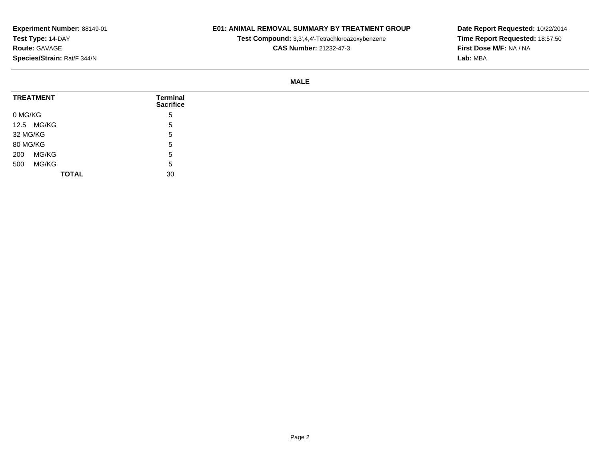## **E01: ANIMAL REMOVAL SUMMARY BY TREATMENT GROUP**

**Test Compound:** 3,3',4,4'-Tetrachloroazoxybenzene

**CAS Number:** 21232-47-3

**Date Report Requested:** 10/22/2014**Time Report Requested:** 18:57:50**First Dose M/F:** NA / NA**Lab:** MBA

#### **MALE**

| <b>TREATMENT</b> | Terminal<br><b>Sacrifice</b> |
|------------------|------------------------------|
| 0 MG/KG          | 5                            |
| 12.5 MG/KG       | 5                            |
| 32 MG/KG         | 5                            |
| 80 MG/KG         | -5                           |
| MG/KG<br>200     | 5                            |
| MG/KG<br>500     | -5                           |
| <b>TOTAL</b>     | 30                           |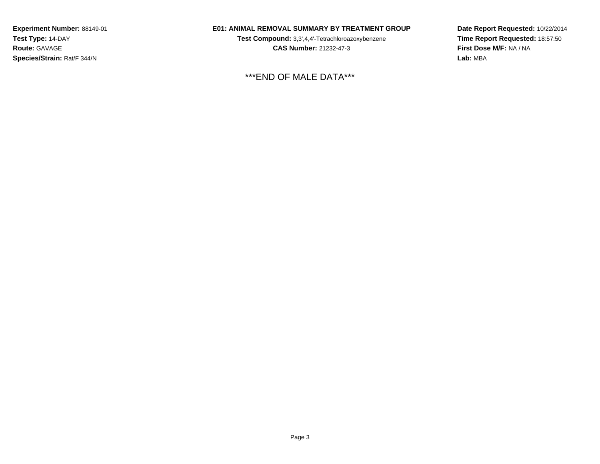### **E01: ANIMAL REMOVAL SUMMARY BY TREATMENT GROUP**

**Test Compound:** 3,3',4,4'-Tetrachloroazoxybenzene**CAS Number:** 21232-47-3

\*\*\*END OF MALE DATA\*\*\*

**Date Report Requested:** 10/22/2014**Time Report Requested:** 18:57:50**First Dose M/F:** NA / NA**Lab:** MBA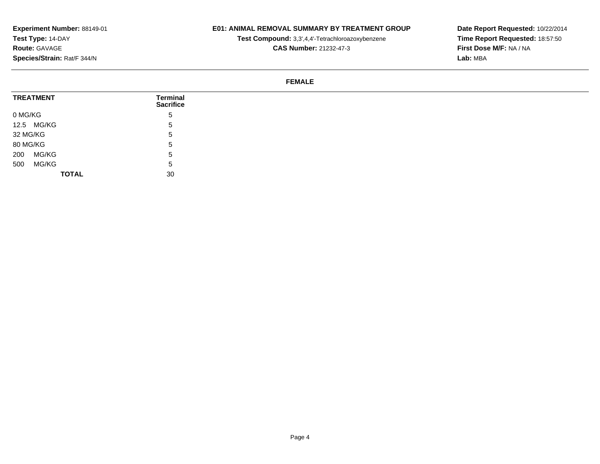## **E01: ANIMAL REMOVAL SUMMARY BY TREATMENT GROUP**

**Test Compound:** 3,3',4,4'-Tetrachloroazoxybenzene

**CAS Number:** 21232-47-3

**Date Report Requested:** 10/22/2014**Time Report Requested:** 18:57:50**First Dose M/F:** NA / NA**Lab:** MBA

#### **FEMALE**

| <b>TREATMENT</b> | Terminal<br><b>Sacrifice</b> |
|------------------|------------------------------|
| 0 MG/KG          | 5                            |
| 12.5 MG/KG       | 5                            |
| 32 MG/KG         | <sub>5</sub>                 |
| 80 MG/KG         | 5                            |
| MG/KG<br>200     | 5                            |
| MG/KG<br>500     | 5                            |
| <b>TOTAL</b>     | 30                           |